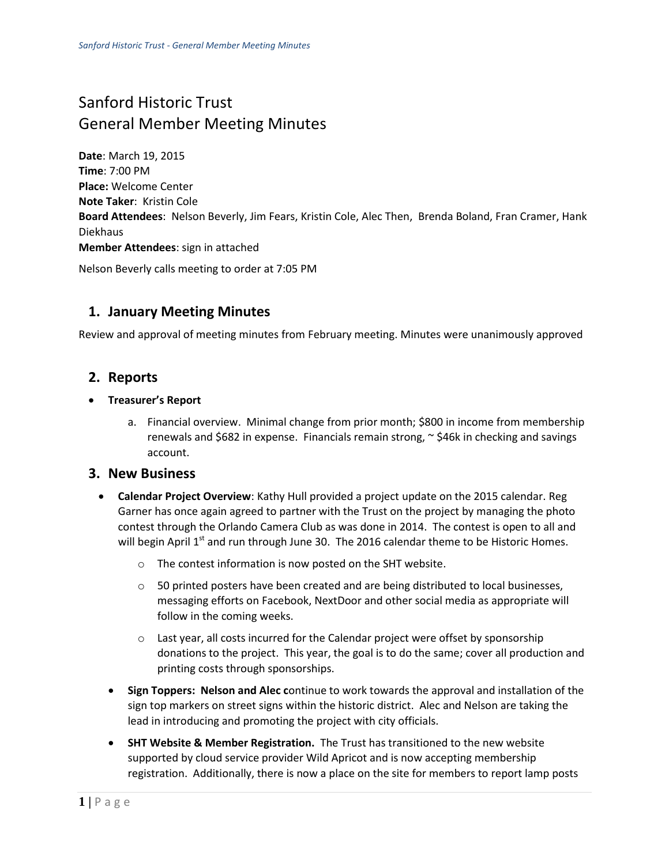# Sanford Historic Trust General Member Meeting Minutes

**Date**: March 19, 2015 **Time**: 7:00 PM **Place:** Welcome Center **Note Taker**: Kristin Cole **Board Attendees**: Nelson Beverly, Jim Fears, Kristin Cole, Alec Then, Brenda Boland, Fran Cramer, Hank Diekhaus **Member Attendees**: sign in attached

Nelson Beverly calls meeting to order at 7:05 PM

# **1. January Meeting Minutes**

Review and approval of meeting minutes from February meeting. Minutes were unanimously approved

### **2. Reports**

- **Treasurer's Report**
	- a. Financial overview. Minimal change from prior month; \$800 in income from membership renewals and \$682 in expense. Financials remain strong,  $\sim$  \$46k in checking and savings account.

#### **3. New Business**

- **Calendar Project Overview**: Kathy Hull provided a project update on the 2015 calendar. Reg Garner has once again agreed to partner with the Trust on the project by managing the photo contest through the Orlando Camera Club as was done in 2014. The contest is open to all and will begin April  $1<sup>st</sup>$  and run through June 30. The 2016 calendar theme to be Historic Homes.
	- o The contest information is now posted on the SHT website.
	- $\circ$  50 printed posters have been created and are being distributed to local businesses, messaging efforts on Facebook, NextDoor and other social media as appropriate will follow in the coming weeks.
	- o Last year, all costs incurred for the Calendar project were offset by sponsorship donations to the project. This year, the goal is to do the same; cover all production and printing costs through sponsorships.
	- **Sign Toppers: Nelson and Alec c**ontinue to work towards the approval and installation of the sign top markers on street signs within the historic district. Alec and Nelson are taking the lead in introducing and promoting the project with city officials.
	- **SHT Website & Member Registration.** The Trust has transitioned to the new website supported by cloud service provider Wild Apricot and is now accepting membership registration. Additionally, there is now a place on the site for members to report lamp posts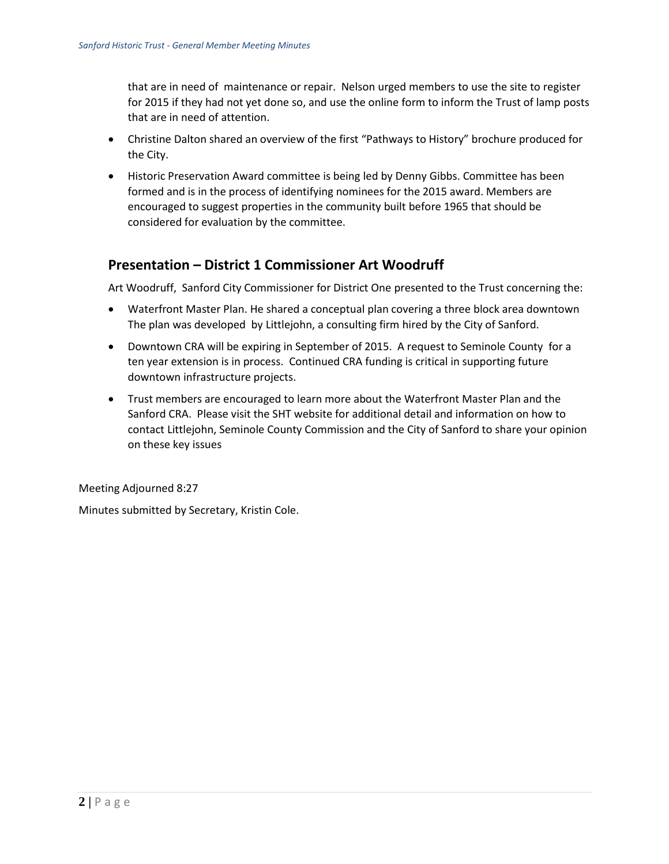that are in need of maintenance or repair. Nelson urged members to use the site to register for 2015 if they had not yet done so, and use the online form to inform the Trust of lamp posts that are in need of attention.

- Christine Dalton shared an overview of the first "Pathways to History" brochure produced for the City.
- Historic Preservation Award committee is being led by Denny Gibbs. Committee has been formed and is in the process of identifying nominees for the 2015 award. Members are encouraged to suggest properties in the community built before 1965 that should be considered for evaluation by the committee.

# **Presentation – District 1 Commissioner Art Woodruff**

Art Woodruff, Sanford City Commissioner for District One presented to the Trust concerning the:

- Waterfront Master Plan. He shared a conceptual plan covering a three block area downtown The plan was developed by Littlejohn, a consulting firm hired by the City of Sanford.
- Downtown CRA will be expiring in September of 2015. A request to Seminole County for a ten year extension is in process. Continued CRA funding is critical in supporting future downtown infrastructure projects.
- Trust members are encouraged to learn more about the Waterfront Master Plan and the Sanford CRA. Please visit the SHT website for additional detail and information on how to contact Littlejohn, Seminole County Commission and the City of Sanford to share your opinion on these key issues

Meeting Adjourned 8:27

Minutes submitted by Secretary, Kristin Cole.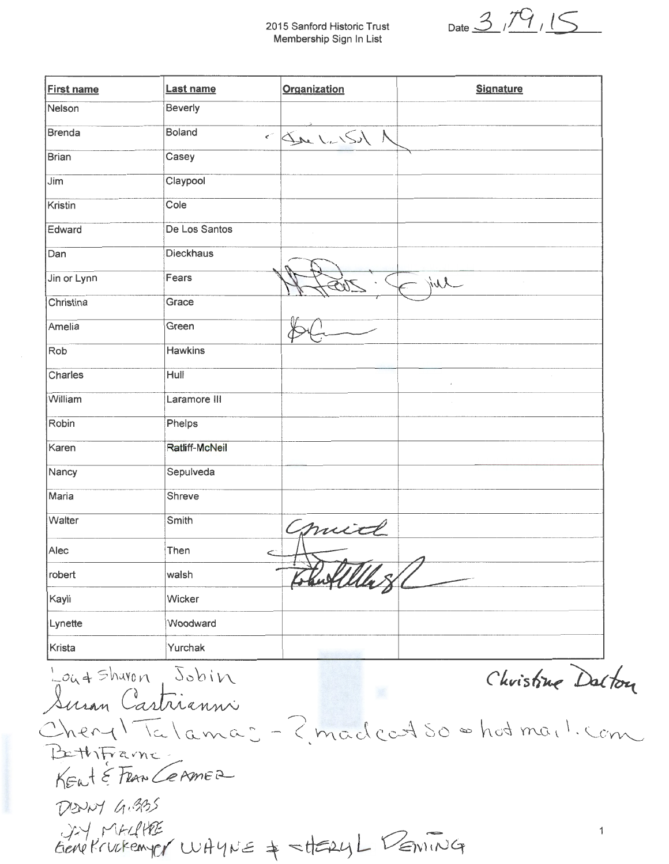2015 Sanford Historic Trust Membership Sign In List

 $_{\text{Date}}$  3,79,15

| <b>First name</b> | Last name        | Organization      | <b>Signature</b> |
|-------------------|------------------|-------------------|------------------|
| Nelson            | Beverly          |                   |                  |
| <b>Brenda</b>     | <b>Boland</b>    | $\leq$ See LUST A |                  |
| <b>Brian</b>      | Casey            |                   |                  |
| Jim               | Claypool         |                   |                  |
| Kristin           | Cole             |                   |                  |
| Edward            | De Los Santos    |                   |                  |
| Dan               | <b>Dieckhaus</b> |                   |                  |
| Jin or Lynn       | Fears            |                   | F jul            |
| Christina         | Grace            |                   |                  |
| Amelia            | Green            |                   |                  |
| Rob               | <b>Hawkins</b>   |                   |                  |
| Charles           | Hull             |                   |                  |
| William           | Laramore III     |                   |                  |
| Robin             | Phelps           |                   |                  |
| Karen             | Ratliff-McNeil   |                   |                  |
| Nancy             | Sepulveda        |                   |                  |
| Maria             | Shreve           |                   |                  |
| Walter            | Smith            |                   |                  |
| Alec              | Then             | Comid             |                  |
| robert            | walsh            | Thut While        | ↗                |
| Kayli             | Wicker           |                   |                  |
| Lynette           | Woodward         |                   |                  |
| Krista            | Yurchak          |                   |                  |

Christine Dalton Susan Castrianni Cheryl Talamas - ? madcat so = hot mail. com BethFrame KENT & FRAN CEAMER DENNY G.BOS JA MALIKE<br>Gene Krukemyer WHYNE & SHERYL DEMING  $\mathbf{1}$